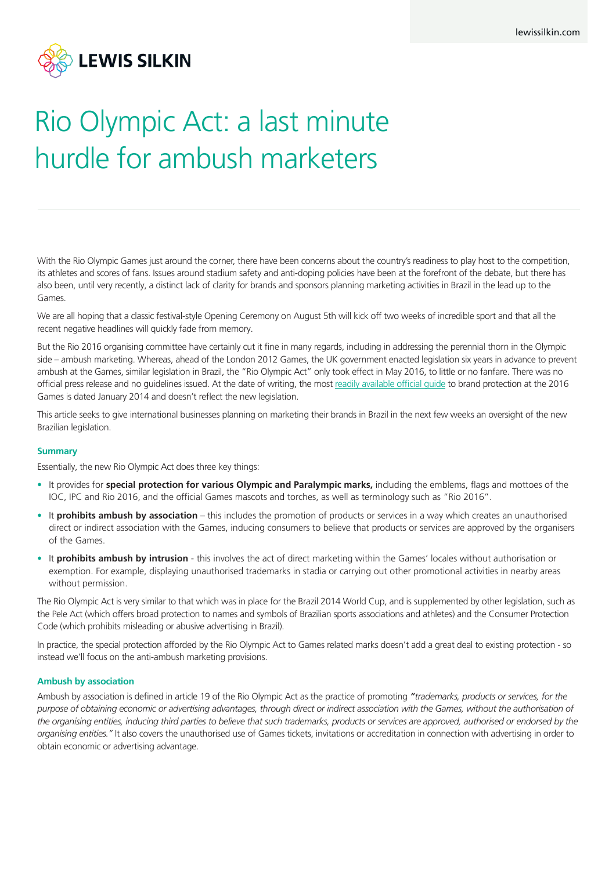

# Rio Olympic Act: a last minute hurdle for ambush marketers

With the Rio Olympic Games just around the corner, there have been concerns about the country's readiness to play host to the competition, its athletes and scores of fans. Issues around stadium safety and anti-doping policies have been at the forefront of the debate, but there has also been, until very recently, a distinct lack of clarity for brands and sponsors planning marketing activities in Brazil in the lead up to the Games.

We are all hoping that a classic festival-style Opening Ceremony on August 5th will kick off two weeks of incredible sport and that all the recent negative headlines will quickly fade from memory.

But the Rio 2016 organising committee have certainly cut it fine in many regards, including in addressing the perennial thorn in the Olympic side – ambush marketing. Whereas, ahead of the London 2012 Games, the UK government enacted legislation six years in advance to prevent ambush at the Games, similar legislation in Brazil, the "Rio Olympic Act" only took effect in May 2016, to little or no fanfare. There was no official press release and no guidelines issued. At the date of writing, the most readily available official guide to brand protection at the 2016 Games is dated January 2014 and doesn't reflect the new legislation.

This article seeks to give international businesses planning on marketing their brands in Brazil in the next few weeks an oversight of the new Brazilian legislation.

# **Summary**

Essentially, the new Rio Olympic Act does three key things:

- It provides for **special protection for various Olympic and Paralympic marks,** including the emblems, flags and mottoes of the IOC, IPC and Rio 2016, and the official Games mascots and torches, as well as terminology such as "Rio 2016".
- It **prohibits ambush by association** this includes the promotion of products or services in a way which creates an unauthorised direct or indirect association with the Games, inducing consumers to believe that products or services are approved by the organisers of the Games.
- It **prohibits ambush by intrusion** this involves the act of direct marketing within the Games' locales without authorisation or exemption. For example, displaying unauthorised trademarks in stadia or carrying out other promotional activities in nearby areas without permission.

The Rio Olympic Act is very similar to that which was in place for the Brazil 2014 World Cup, and is supplemented by other legislation, such as the Pele Act (which offers broad protection to names and symbols of Brazilian sports associations and athletes) and the Consumer Protection Code (which prohibits misleading or abusive advertising in Brazil).

In practice, the special protection afforded by the Rio Olympic Act to Games related marks doesn't add a great deal to existing protection - so instead we'll focus on the anti-ambush marketing provisions.

# **Ambush by association**

Ambush by association is defined in article 19 of the Rio Olympic Act as the practice of promoting *"trademarks, products or services, for the purpose of obtaining economic or advertising advantages, through direct or indirect association with the Games, without the authorisation of the organising entities, inducing third parties to believe that such trademarks, products or services are approved, authorised or endorsed by the organising entities."* It also covers the unauthorised use of Games tickets, invitations or accreditation in connection with advertising in order to obtain economic or advertising advantage.